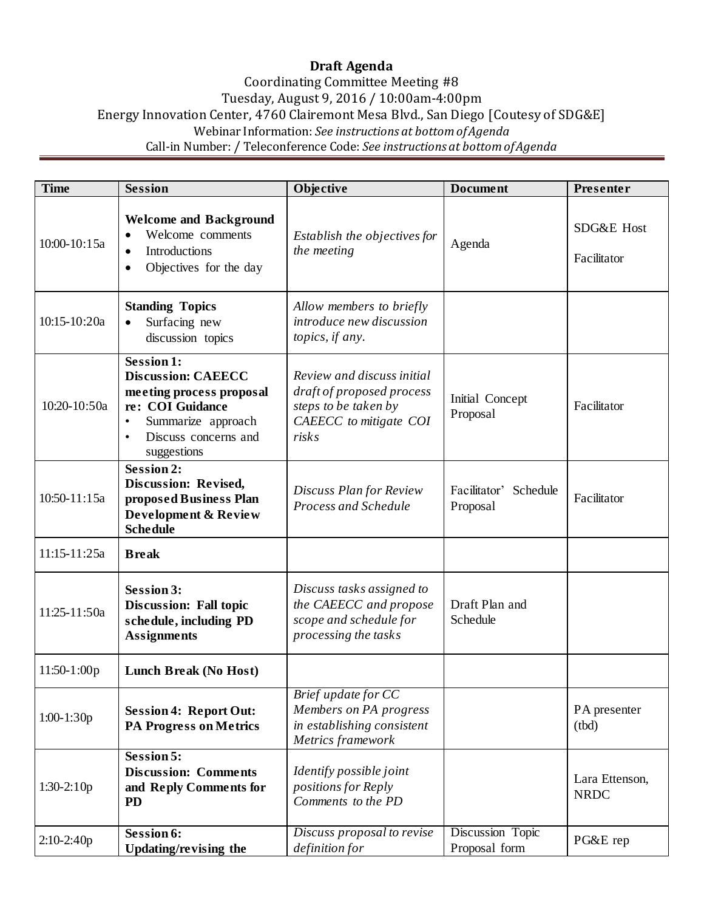## **Draft Agenda**

## Coordinating Committee Meeting #8 Tuesday, August 9, 2016 / 10:00am-4:00pm Energy Innovation Center, 4760 Clairemont Mesa Blvd., San Diego [Coutesy of SDG&E] Webinar Information: *See instructions at bottom of Agenda* Call-in Number: / Teleconference Code: *See instructions at bottom of Agenda*

| <b>Time</b>  | <b>Session</b>                                                                                                                                                                        | Objective                                                                                                          | <b>Document</b>                          | Presenter                     |
|--------------|---------------------------------------------------------------------------------------------------------------------------------------------------------------------------------------|--------------------------------------------------------------------------------------------------------------------|------------------------------------------|-------------------------------|
| 10:00-10:15a | <b>Welcome and Background</b><br>Welcome comments<br>$\bullet$<br>Introductions<br>$\bullet$<br>Objectives for the day<br>$\bullet$                                                   | Establish the objectives for<br>the meeting                                                                        | Agenda                                   | SDG&E Host<br>Facilitator     |
| 10:15-10:20a | <b>Standing Topics</b><br>Surfacing new<br>$\bullet$<br>discussion topics                                                                                                             | Allow members to briefly<br>introduce new discussion<br>topics, if any.                                            |                                          |                               |
| 10:20-10:50a | <b>Session 1:</b><br><b>Discussion: CAEECC</b><br>meeting process proposal<br>re: COI Guidance<br>Summarize approach<br>$\bullet$<br>Discuss concerns and<br>$\bullet$<br>suggestions | Review and discuss initial<br>draft of proposed process<br>steps to be taken by<br>CAEECC to mitigate COI<br>risks | Initial Concept<br>Proposal              | Facilitator                   |
| 10:50-11:15a | <b>Session 2:</b><br>Discussion: Revised,<br>proposed Business Plan<br>Development & Review<br><b>Schedule</b>                                                                        | Discuss Plan for Review<br>Process and Schedule                                                                    | Facilitator' Schedule<br>Proposal        | Facilitator                   |
| 11:15-11:25a | <b>Break</b>                                                                                                                                                                          |                                                                                                                    |                                          |                               |
| 11:25-11:50a | <b>Session 3:</b><br><b>Discussion: Fall topic</b><br>schedule, including PD<br><b>Assignments</b>                                                                                    | Discuss tasks assigned to<br>the CAEECC and propose<br>scope and schedule for<br>processing the tasks              | Draft Plan and<br>Schedule               |                               |
| 11:50-1:00p  | Lunch Break (No Host)                                                                                                                                                                 |                                                                                                                    |                                          |                               |
| $1:00-1:30p$ | <b>Session 4: Report Out:</b><br><b>PA Progress on Metrics</b>                                                                                                                        | Brief update for CC<br>Members on PA progress<br>in establishing consistent<br>Metrics framework                   |                                          | PA presenter<br>(tbd)         |
| $1:30-2:10p$ | Session 5:<br><b>Discussion: Comments</b><br>and Reply Comments for<br><b>PD</b>                                                                                                      | Identify possible joint<br>positions for Reply<br>Comments to the PD                                               |                                          | Lara Ettenson,<br><b>NRDC</b> |
| $2:10-2:40p$ | Session 6:<br><b>Updating/revising the</b>                                                                                                                                            | Discuss proposal to revise<br>definition for                                                                       | <b>Discussion Topic</b><br>Proposal form | PG&E rep                      |